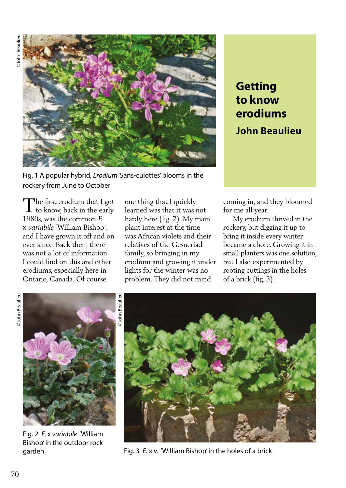

Fig. 1 A popular hybrid, *Erodium* 'Sans-culottes' blooms in the rockery from June to October

The first erodium that I got The first erodium that I got<br>to know, back in the early 1980s, was the common *E.* x *variabile* 'William Bishop', and I have grown it off and on ever since. Back then, there was not a lot of information I could find on this and other erodiums, especially here in Ontario, Canada. Of course

one thing that I quickly learned was that it was not hardy here (fig. 2). My main plant interest at the time was African violets and their relatives of the Gesneriad family, so bringing in my erodium and growing it under lights for the winter was no problem. They did not mind

## **Getting to know erodiums John Beaulieu**

coming in, and they bloomed for me all year.

 My erodium thrived in the rockery, but digging it up to bring it inside every winter became a chore. Growing it in small planters was one solution, but I also experimented by rooting cuttings in the holes of a brick (fig. 3).



Fig. 2 *E.* x *variabile* 'William Bishop' in the outdoor rock



garden Fig. 3 *E.* x *v.* 'William Bishop' in the holes of a brick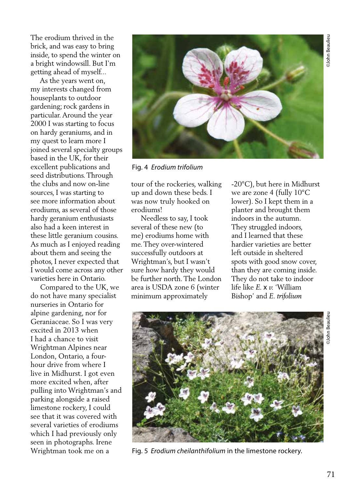The erodium thrived in the brick, and was easy to bring inside, to spend the winter on a bright windowsill. But I'm getting ahead of myself...

 As the years went on, my interests changed from houseplants to outdoor gardening; rock gardens in particular. Around the year 2000 I was starting to focus on hardy geraniums, and in my quest to learn more I joined several specialty groups based in the UK, for their excellent publications and seed distributions. Through the clubs and now on-line sources, I was starting to see more information about erodiums, as several of those hardy geranium enthusiasts also had a keen interest in these little geranium cousins. As much as I enjoyed reading about them and seeing the photos, I never expected that I would come across any other varieties here in Ontario.

 Compared to the UK, we do not have many specialist nurseries in Ontario for alpine gardening, nor for Geraniaceae. So I was very excited in 2013 when I had a chance to visit Wrightman Alpines near London, Ontario, a fourhour drive from where I live in Midhurst. I got even more excited when, after pulling into Wrightman's and parking alongside a raised limestone rockery, I could see that it was covered with several varieties of erodiums which I had previously only seen in photographs. Irene Wrightman took me on a



Fig. 4 *Erodium trifolium*

tour of the rockeries, walking up and down these beds. I was now truly hooked on erodiums!

 Needless to say, I took several of these new (to me) erodiums home with me. They over-wintered successfully outdoors at Wrightman's, but I wasn't sure how hardy they would be further north. The London area is USDA zone 6 (winter minimum approximately

-20°C), but here in Midhurst we are zone 4 (fully 10°C lower). So I kept them in a planter and brought them indoors in the autumn. They struggled indoors, and I learned that these hardier varieties are better left outside in sheltered spots with good snow cover, than they are coming inside. They do not take to indoor life like *E.* x *v.* 'William Bishop' and *E. trifolium*



Fig. 5 *Erodium cheilanthifolium* in the limestone rockery.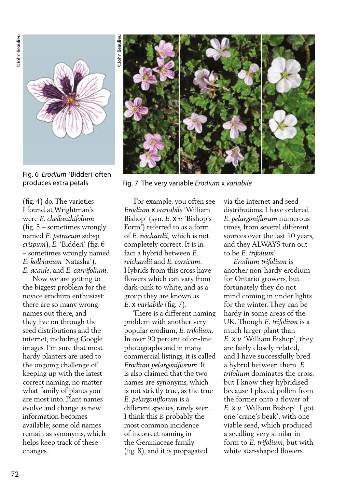

Fig. 6 *Erodium* 'Bidderi' often

(fig. 4) do. The varieties I found at Wrightman's were *E. cheilanthifolium* (fig. 5 – sometimes wrongly named *E. petraeum* subsp. *crispum*), *E.* 'Bidderi' (fig. 6 – sometimes wrongly named *E. kolbianum* 'Natasha'), *E. acaule*, and *E. carvifolium*.

 Now we are getting to the biggest problem for the novice erodium enthusiast: there are so many wrong names out there, and they live on through the seed distributions and the internet, including Google images. I'm sure that most hardy planters are used to the ongoing challenge of keeping up with the latest correct naming, no matter what family of plants you are most into. Plant names evolve and change as new information becomes available; some old names remain as synonyms, which helps keep track of these changes.



produces extra petals Fig. 7 The very variable *Erodium* x *variabile*

 For example, you often see *Erodium* x *variabile* 'William Bishop' (syn. *E.* x *v.* 'Bishop's Form') referred to as a form of *E. reichardii,* which is not completely correct. It is in fact a hybrid between *E. reichardii* and *E. corsicum*. Hybrids from this cross have flowers which can vary from dark-pink to white, and as a group they are known as *E.* x *variabile* (fig. 7).

 There is a different naming problem with another very popular erodium, *E. trifolium*. In over 90 percent of on-line photographs and in many commercial listings, it is called *Erodium pelargoniflorum*. It is also claimed that the two names are synonyms, which is not strictly true, as the true *E. pelargoniflorum* is a different species, rarely seen. I think this is probably the most common incidence of incorrect naming in the Geraniaceae family (fig. 8), and it is propagated

via the internet and seed distributions. I have ordered *E. pelargoniflorum* numerous times, from several different sources over the last 10 years, and they ALWAYS turn out to be *E. trifolium*!

 *Erodium trifolium* is another non-hardy erodium for Ontario growers, but fortunately they do not mind coming in under lights for the winter. They can be hardy in some areas of the UK. Though *E. trifolium* is a much larger plant than *E.* x *v.* 'William Bishop', they are fairly closely related, and I have successfully bred a hybrid between them. *E. trifolium* dominates the cross, but I know they hybridised because I placed pollen from the former onto a flower of *E.* x *v.* 'William Bishop'. I got one 'crane's beak', with one viable seed, which produced a seedling very similar in form to *E. trifolium*, but with white star-shaped flowers.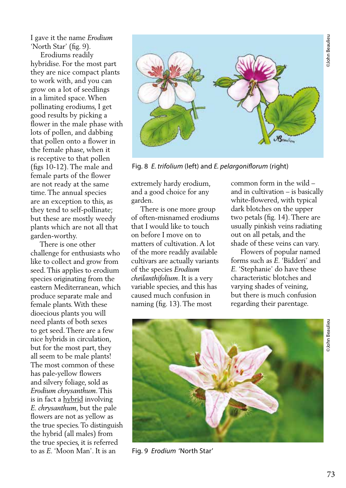I gave it the name *Erodium* 'North Star' (fig. 9).

 Erodiums readily hybridise. For the most part they are nice compact plants to work with, and you can grow on a lot of seedlings in a limited space. When pollinating erodiums, I get good results by picking a flower in the male phase with lots of pollen, and dabbing that pollen onto a flower in the female phase, when it is receptive to that pollen (figs 10-12). The male and female parts of the flower are not ready at the same time. The annual species are an exception to this, as they tend to self-pollinate; but these are mostly weedy plants which are not all that garden-worthy.

 There is one other challenge for enthusiasts who like to collect and grow from seed. This applies to erodium species originating from the eastern Mediterranean, which produce separate male and female plants. With these dioecious plants you will need plants of both sexes to get seed. There are a few nice hybrids in circulation, but for the most part, they all seem to be male plants! The most common of these has pale-yellow flowers and silvery foliage, sold as *Erodium chrysanthum*. This is in fact a hybrid involving *E. chrysanthum*, but the pale flowers are not as yellow as the true species. To distinguish the hybrid (all males) from the true species, it is referred to as *E.* 'Moon Man'. It is an



Fig. 8 *E. trifolium* (left) and *E. pelargoniflorum* (right)

extremely hardy erodium, and a good choice for any garden.

 There is one more group of often-misnamed erodiums that I would like to touch on before I move on to matters of cultivation. A lot of the more readily available cultivars are actually variants of the species *Erodium cheilanthifolium*. It is a very variable species, and this has caused much confusion in naming (fig. 13). The most

common form in the wild – and in cultivation – is basically white-flowered, with typical dark blotches on the upper two petals (fig. 14). There are usually pinkish veins radiating out on all petals, and the shade of these veins can vary.

 Flowers of popular named forms such as *E.* 'Bidderi' and *E.* 'Stephanie' do have these characteristic blotches and varying shades of veining, but there is much confusion regarding their parentage.



Fig. 9 *Erodium* 'North Star'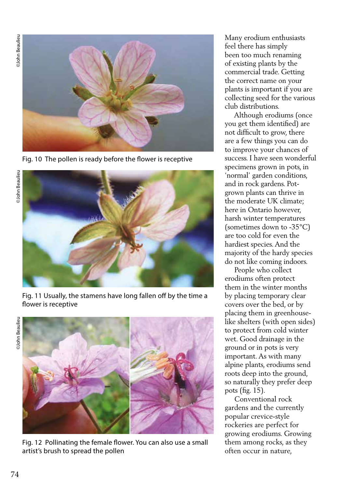**OJohn Beaulieu** ©John Beaulieu ©John Beaulieu ©John Beaulieu



Fig. 10 The pollen is ready before the flower is receptive



Fig. 11 Usually, the stamens have long fallen off by the time a flower is receptive

**OJohn Beaulieu** 



Fig. 12 Pollinating the female flower. You can also use a small artist's brush to spread the pollen

Many erodium enthusiasts feel there has simply been too much renaming of existing plants by the commercial trade. Getting the correct name on your plants is important if you are collecting seed for the various club distributions.

 Although erodiums (once you get them identified) are not difficult to grow, there are a few things you can do to improve your chances of success. I have seen wonderful specimens grown in pots, in 'normal' garden conditions, and in rock gardens. Potgrown plants can thrive in the moderate UK climate; here in Ontario however, harsh winter temperatures (sometimes down to -35°C) are too cold for even the hardiest species. And the majority of the hardy species do not like coming indoors.

 People who collect erodiums often protect them in the winter months by placing temporary clear covers over the bed, or by placing them in greenhouselike shelters (with open sides) to protect from cold winter wet. Good drainage in the ground or in pots is very important. As with many alpine plants, erodiums send roots deep into the ground, so naturally they prefer deep pots (fig. 15).

 Conventional rock gardens and the currently popular crevice-style rockeries are perfect for growing erodiums. Growing them among rocks, as they often occur in nature,